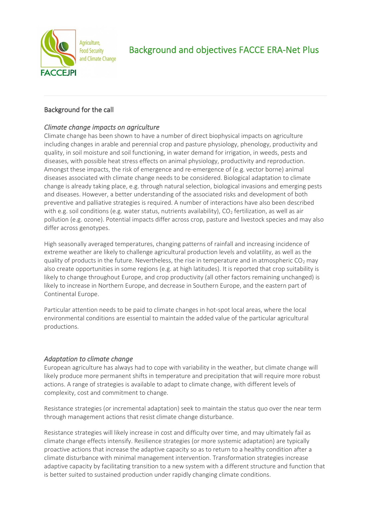

# Background for the call

## *Climate change impacts on agriculture*

Climate change has been shown to have a number of direct biophysical impacts on agriculture including changes in arable and perennial crop and pasture physiology, phenology, productivity and quality, in soil moisture and soil functioning, in water demand for irrigation, in weeds, pests and diseases, with possible heat stress effects on animal physiology, productivity and reproduction. Amongst these impacts, the risk of emergence and re-emergence of (e.g. vector borne) animal diseases associated with climate change needs to be considered. Biological adaptation to climate change is already taking place, e.g. through natural selection, biological invasions and emerging pests and diseases. However, a better understanding of the associated risks and development of both preventive and palliative strategies is required. A number of interactions have also been described with e.g. soil conditions (e.g. water status, nutrients availability),  $CO<sub>2</sub>$  fertilization, as well as air pollution (e.g. ozone). Potential impacts differ across crop, pasture and livestock species and may also differ across genotypes.

High seasonally averaged temperatures, changing patterns of rainfall and increasing incidence of extreme weather are likely to challenge agricultural production levels and volatility, as well as the quality of products in the future. Nevertheless, the rise in temperature and in atmospheric  $CO<sub>2</sub>$  may also create opportunities in some regions (e.g. at high latitudes). It is reported that crop suitability is likely to change throughout Europe, and crop productivity (all other factors remaining unchanged) is likely to increase in Northern Europe, and decrease in Southern Europe, and the eastern part of Continental Europe.

Particular attention needs to be paid to climate changes in hot-spot local areas, where the local environmental conditions are essential to maintain the added value of the particular agricultural productions.

## *Adaptation to climate change*

European agriculture has always had to cope with variability in the weather, but climate change will likely produce more permanent shifts in temperature and precipitation that will require more robust actions. A range of strategies is available to adapt to climate change, with different levels of complexity, cost and commitment to change.

Resistance strategies (or incremental adaptation) seek to maintain the status quo over the near term through management actions that resist climate change disturbance.

Resistance strategies will likely increase in cost and difficulty over time, and may ultimately fail as climate change effects intensify. Resilience strategies (or more systemic adaptation) are typically proactive actions that increase the adaptive capacity so as to return to a healthy condition after a climate disturbance with minimal management intervention. Transformation strategies increase adaptive capacity by facilitating transition to a new system with a different structure and function that is better suited to sustained production under rapidly changing climate conditions.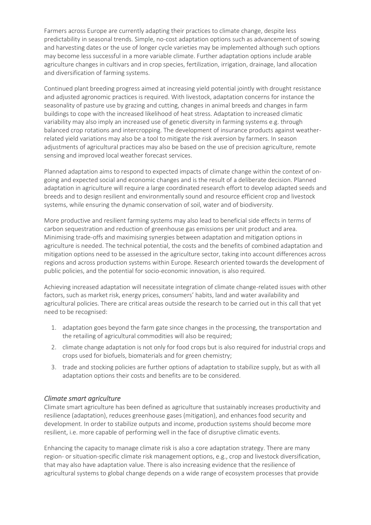Farmers across Europe are currently adapting their practices to climate change, despite less predictability in seasonal trends. Simple, no-cost adaptation options such as advancement of sowing and harvesting dates or the use of longer cycle varieties may be implemented although such options may become less successful in a more variable climate. Further adaptation options include arable agriculture changes in cultivars and in crop species, fertilization, irrigation, drainage, land allocation and diversification of farming systems.

Continued plant breeding progress aimed at increasing yield potential jointly with drought resistance and adjusted agronomic practices is required. With livestock, adaptation concerns for instance the seasonality of pasture use by grazing and cutting, changes in animal breeds and changes in farm buildings to cope with the increased likelihood of heat stress. Adaptation to increased climatic variability may also imply an increased use of genetic diversity in farming systems e.g. through balanced crop rotations and intercropping. The development of insurance products against weatherrelated yield variations may also be a tool to mitigate the risk aversion by farmers. In season adjustments of agricultural practices may also be based on the use of precision agriculture, remote sensing and improved local weather forecast services.

Planned adaptation aims to respond to expected impacts of climate change within the context of ongoing and expected social and economic changes and is the result of a deliberate decision. Planned adaptation in agriculture will require a large coordinated research effort to develop adapted seeds and breeds and to design resilient and environmentally sound and resource efficient crop and livestock systems, while ensuring the dynamic conservation of soil, water and of biodiversity.

More productive and resilient farming systems may also lead to beneficial side effects in terms of carbon sequestration and reduction of greenhouse gas emissions per unit product and area. Minimising trade-offs and maximising synergies between adaptation and mitigation options in agriculture is needed. The technical potential, the costs and the benefits of combined adaptation and mitigation options need to be assessed in the agriculture sector, taking into account differences across regions and across production systems within Europe. Research oriented towards the development of public policies, and the potential for socio-economic innovation, is also required.

Achieving increased adaptation will necessitate integration of climate change-related issues with other factors, such as market risk, energy prices, consumers' habits, land and water availability and agricultural policies. There are critical areas outside the research to be carried out in this call that yet need to be recognised:

- 1. adaptation goes beyond the farm gate since changes in the processing, the transportation and the retailing of agricultural commodities will also be required;
- 2. climate change adaptation is not only for food crops but is also required for industrial crops and crops used for biofuels, biomaterials and for green chemistry;
- 3. trade and stocking policies are further options of adaptation to stabilize supply, but as with all adaptation options their costs and benefits are to be considered.

## *Climate smart agriculture*

Climate smart agriculture has been defined as agriculture that sustainably increases productivity and resilience (adaptation), reduces greenhouse gases (mitigation), and enhances food security and development. In order to stabilize outputs and income, production systems should become more resilient, i.e. more capable of performing well in the face of disruptive climatic events.

Enhancing the capacity to manage climate risk is also a core adaptation strategy. There are many region- or situation-specific climate risk management options, e.g., crop and livestock diversification, that may also have adaptation value. There is also increasing evidence that the resilience of agricultural systems to global change depends on a wide range of ecosystem processes that provide